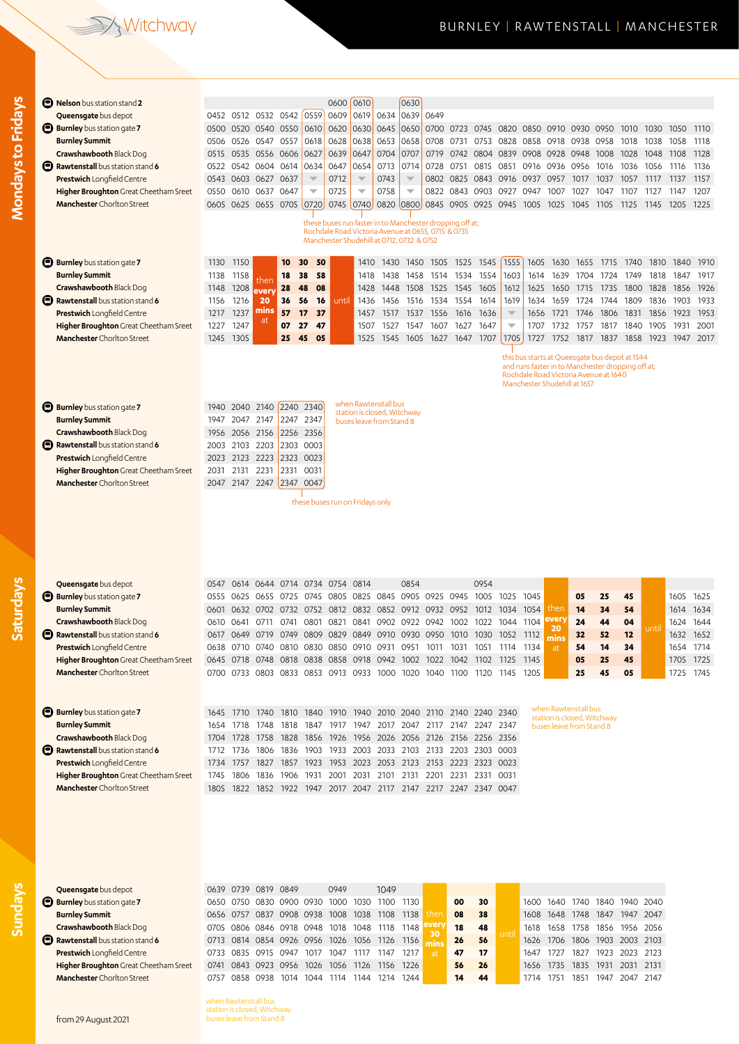## Witchway

## BURNLEY | RAWTENSTALL | MANCHESTER

| <b>B</b> Nelson bus station stand 2                                        |                                                                                                                            |                                            |                        |                        |                          | 0600                                                                                                           | 0610                     |                                                     | 0630                     |                             |                |                                                                                         |                                                    |              |                                                     |              |              |                                                |              |              |                        |
|----------------------------------------------------------------------------|----------------------------------------------------------------------------------------------------------------------------|--------------------------------------------|------------------------|------------------------|--------------------------|----------------------------------------------------------------------------------------------------------------|--------------------------|-----------------------------------------------------|--------------------------|-----------------------------|----------------|-----------------------------------------------------------------------------------------|----------------------------------------------------|--------------|-----------------------------------------------------|--------------|--------------|------------------------------------------------|--------------|--------------|------------------------|
| Queensgate bus depot<br><b>Burnley</b> bus station gate 7                  |                                                                                                                            | 0452 0512 0532 0542<br>0500 0520 0540 0550 |                        |                        | 0559<br>0610             | 0609<br>0620                                                                                                   | 0619<br>0630             | 0634<br>0645                                        | 0639<br>0650             | 0649                        | 0700 0723 0745 |                                                                                         | 0820                                               | 0850         | 0910                                                | 0930         | 0950         | 1010                                           | 1030         | 1050         | 1110                   |
| <b>Burnley Summit</b>                                                      | 0506                                                                                                                       | 0526 0547 0557                             |                        |                        | 0618                     | 0628                                                                                                           | 0638                     | 0653                                                | 0658                     |                             | 0708 0731      | 0753                                                                                    | 0828                                               | 0858         | 0918                                                | 0938         | 0958         | 1018                                           | 1038         | 1058         | 1118                   |
| Crawshawbooth Black Dog                                                    | 0515                                                                                                                       | 0535                                       | 0556 0606              |                        | 0627                     | 0639                                                                                                           | 0647                     | 0704                                                | 0707                     | 0719                        | 0742 0804      |                                                                                         | 0839                                               | 0908 0928    |                                                     | 0948         | 1008         | 1028                                           | 1048         | 1108         | 1128                   |
| Rawtenstall bus station stand 6                                            |                                                                                                                            | 0522 0542                                  | 0604 0614              |                        | 0634                     | 0647                                                                                                           | 0654                     | 0713                                                | 0714                     |                             | 0728 0751      | 0815                                                                                    | 0851                                               |              | 0916 0936                                           | 0956         | 1016         | 1036                                           | 1056         | 1116         | 1136                   |
| <b>Prestwich Longfield Centre</b>                                          |                                                                                                                            | 0543 0603 0627 0637                        |                        |                        | $\overline{\mathbf{v}}$  | 0712                                                                                                           | $\overline{\phantom{a}}$ | 0743                                                | $\overline{\mathbb{V}}$  |                             | 0802 0825 0843 |                                                                                         | 0916 0937 0957                                     |              |                                                     | 1017         | 1037         | 1057                                           | 1117         | 1137         | 1157                   |
| Higher Broughton Great Cheetham Sreet                                      | 0550                                                                                                                       | 0610                                       | 0637 0647              |                        | $\overline{\phantom{0}}$ | 0725                                                                                                           | ▼                        | 0758                                                | $\overline{\phantom{a}}$ | 0822                        | 0843 0903      |                                                                                         | 0927                                               | 0947         | 1007                                                | 1027         | 1047         | 1107                                           | 1127         | 1147         | 1207                   |
| <b>Manchester</b> Chorlton Street                                          |                                                                                                                            | 0605 0625 0655 0705 0720                   |                        |                        |                          | 0745 0740                                                                                                      |                          |                                                     | 0820 0800                |                             | 0845 0905 0925 |                                                                                         | 0945                                               | 1005         | 1025                                                | 1045         | 1105         | 1125                                           | -1145        | 1205         | 1225                   |
|                                                                            |                                                                                                                            |                                            |                        |                        |                          | these buses run faster in to Manchester dropping off at;<br>Rochdale Road Victoria Avenue at 0655, 0715 & 0735 |                          |                                                     |                          |                             |                |                                                                                         |                                                    |              |                                                     |              |              |                                                |              |              |                        |
|                                                                            |                                                                                                                            |                                            |                        |                        |                          | Manchester Shudehill at 0712, 0732 & 0752                                                                      |                          |                                                     |                          |                             |                |                                                                                         |                                                    |              |                                                     |              |              |                                                |              |              |                        |
| <b>Burnley</b> bus station gate 7                                          | 1130                                                                                                                       | 1150                                       |                        | 10                     | 50<br>30                 |                                                                                                                | 1410                     | 1430                                                | 1450                     | 1505                        | 1525           | 1545                                                                                    | 1555                                               | 1605         | 1630                                                | 1655         | 1715         | 1740                                           | 1810         | 1840         | 1910                   |
| <b>Burnley Summit</b>                                                      | 1138                                                                                                                       | 1158                                       | then                   | 18                     | 38<br>58                 |                                                                                                                | 1418                     | 1438                                                | 1458                     | 1514                        | 1534           | 1554                                                                                    | 1603                                               | 1614         | 1639                                                | 1704         | 1724         | 1749                                           | 1818         | 1847         | 1917                   |
| Crawshawbooth Black Dog                                                    | 1148                                                                                                                       | 1208                                       | every                  | 28                     | 48<br>08                 |                                                                                                                | 1428                     | 1448                                                | 1508                     | 1525                        | 1545           | 1605                                                                                    | 1612                                               | 1625         | 1650                                                | 1715         | 1735         | 1800                                           | 1828         | 1856         | 1926                   |
| Rawtenstall bus station stand 6                                            | 1156                                                                                                                       | 1216                                       | 20                     | 36                     | 16<br>56                 | until                                                                                                          | 1436                     | 1456                                                | 1516                     |                             | 1534 1554      | 1614                                                                                    | 1619                                               | 1634         | 1659                                                | 1724         | 1744         | 1809                                           | 1836         | 1903         | 1933                   |
| <b>Prestwich Longfield Centre</b>                                          | 1217                                                                                                                       | 1237<br>1247                               | mins<br>at             | 57<br>07               | 17<br>37<br>47           |                                                                                                                | 1457                     | 1517                                                | 1537                     | 1556                        | 1616           | 1636<br>1647                                                                            | $\overline{\mathbf{v}}$<br>$\overline{\mathbf{v}}$ | 1656<br>1707 | 1721                                                | 1746         | 1806         | 1831                                           | 1856         | 1923         | 1953<br>2001           |
| Higher Broughton Great Cheetham Sreet<br><b>Manchester</b> Chorlton Street | 1227<br>1245                                                                                                               | 1305                                       |                        | 25                     | 27<br>45<br>05           |                                                                                                                | 1507<br>1525             | 1527<br>1545                                        | 1547<br>1605             | 1607<br>1627                | 1627<br>1647   | 1707                                                                                    | 1705                                               | 1727         | 1732<br>1752                                        | 1757<br>1817 | 1817<br>1837 | 1840<br>1858                                   | 1905<br>1923 | 1931<br>1947 | 2017                   |
|                                                                            |                                                                                                                            |                                            |                        |                        |                          |                                                                                                                |                          |                                                     |                          |                             |                |                                                                                         |                                                    |              |                                                     |              |              |                                                |              |              |                        |
|                                                                            |                                                                                                                            |                                            |                        |                        |                          |                                                                                                                |                          |                                                     |                          |                             |                |                                                                                         |                                                    |              |                                                     |              |              | this bus starts at Queesgate bus depot at 1544 |              |              |                        |
|                                                                            | and runs faster in to Manchester dropping off at;<br>Rochdale Road Victoria Avenue at 1640<br>Manchester Shudehill at 1657 |                                            |                        |                        |                          |                                                                                                                |                          |                                                     |                          |                             |                |                                                                                         |                                                    |              |                                                     |              |              |                                                |              |              |                        |
|                                                                            |                                                                                                                            |                                            |                        |                        |                          |                                                                                                                |                          |                                                     |                          |                             |                |                                                                                         |                                                    |              |                                                     |              |              |                                                |              |              |                        |
| <b>Burnley</b> bus station gate 7                                          | 1940                                                                                                                       | 2040                                       | 2140                   | 2240 2340              |                          |                                                                                                                |                          | when Rawtenstall bus<br>station is closed, Witchway |                          |                             |                |                                                                                         |                                                    |              |                                                     |              |              |                                                |              |              |                        |
| <b>Burnley Summit</b>                                                      | 1947                                                                                                                       | 2047                                       | 2147                   | 2247 2347              |                          |                                                                                                                |                          | buses leave from Stand 8                            |                          |                             |                |                                                                                         |                                                    |              |                                                     |              |              |                                                |              |              |                        |
| Crawshawbooth Black Dog<br>Rawtenstall bus station stand 6                 | 1956<br>2003                                                                                                               | 2056 2156<br>2103 2203                     |                        | 2256 2356<br>2303 0003 |                          |                                                                                                                |                          |                                                     |                          |                             |                |                                                                                         |                                                    |              |                                                     |              |              |                                                |              |              |                        |
| <b>Prestwich Longfield Centre</b>                                          |                                                                                                                            | 2023 2123                                  | 2223                   | 2323 0023              |                          |                                                                                                                |                          |                                                     |                          |                             |                |                                                                                         |                                                    |              |                                                     |              |              |                                                |              |              |                        |
| Higher Broughton Great Cheetham Sreet                                      | 2031                                                                                                                       | 2131                                       | 2231                   | 2331 0031              |                          |                                                                                                                |                          |                                                     |                          |                             |                |                                                                                         |                                                    |              |                                                     |              |              |                                                |              |              |                        |
| <b>Manchester</b> Chorlton Street                                          |                                                                                                                            | 2047 2147 2247                             |                        | 2347 0047              |                          |                                                                                                                |                          |                                                     |                          |                             |                |                                                                                         |                                                    |              |                                                     |              |              |                                                |              |              |                        |
|                                                                            |                                                                                                                            |                                            |                        |                        |                          | these buses run on Fridays only                                                                                |                          |                                                     |                          |                             |                |                                                                                         |                                                    |              |                                                     |              |              |                                                |              |              |                        |
|                                                                            |                                                                                                                            |                                            |                        |                        |                          |                                                                                                                |                          |                                                     |                          |                             |                |                                                                                         |                                                    |              |                                                     |              |              |                                                |              |              |                        |
| Queensgate bus depot<br><b>Burnley</b> bus station gate 7                  | 0547                                                                                                                       | 0614                                       |                        | 0644 0714 0734         |                          | 0754 0814<br>0805                                                                                              |                          |                                                     | 0854<br>0905             |                             |                | 0954<br>1005                                                                            |                                                    | 1045         |                                                     | 05           | 25           | 45                                             |              |              | 1625                   |
| <b>Burnley Summit</b>                                                      | 0555<br>0601                                                                                                               | 0625<br>0632                               | 0655<br>0702 0732 0752 | 0725                   | 0745                     | 0812 0832 0852                                                                                                 |                          | 0825 0845                                           |                          | 0925 0945<br>0912 0932 0952 |                | 1012                                                                                    | 1025<br>1034                                       | 1054         | then                                                | 14           | 34           | 54                                             |              | 1605<br>1614 | 1634                   |
| Crawshawbooth Black Dog                                                    | 0610                                                                                                                       | 0641                                       | 0711                   |                        |                          |                                                                                                                |                          |                                                     |                          |                             |                | 0741 0801 0821 0841 0902 0922 0942 1002 1022 1044 1104                                  |                                                    |              | every                                               | 24           | 44           | 04                                             |              |              | 1624 1644              |
| Rawtenstall bus station stand 6                                            |                                                                                                                            | 0617 0649                                  |                        |                        |                          |                                                                                                                |                          |                                                     |                          |                             |                | 0719 0749 0809 0829 0849 0910 0930 0950 1010 1030 1052 1112                             |                                                    |              | 20<br>min                                           | 32           | 52           | 12                                             | until        | 1632 1652    |                        |
| <b>Prestwich Longfield Centre</b>                                          |                                                                                                                            |                                            |                        |                        |                          |                                                                                                                |                          |                                                     |                          |                             |                | 0638 0710 0740 0810 0830 0850 0910 0931 0951 1011 1031 1051 1114 1134                   |                                                    |              | at                                                  | 54           | 14           | 34                                             |              |              | 1654 1714              |
| Higher Broughton Great Cheetham Sreet<br><b>Manchester</b> Chorlton Street | 0645                                                                                                                       | 0718                                       | 0748                   |                        |                          | 0818 0838 0858 0918 0942                                                                                       |                          |                                                     | 1002                     | 1022                        | 1042           | - 1102<br>0700 0733 0803 0833 0853 0913 0933 1000 1020 1040 1100 1120 1145 1205         | 1125                                               | 1145         |                                                     | 05<br>25     | 25<br>45     | 45<br>05                                       |              |              | 1705 1725<br>1725 1745 |
|                                                                            |                                                                                                                            |                                            |                        |                        |                          |                                                                                                                |                          |                                                     |                          |                             |                |                                                                                         |                                                    |              |                                                     |              |              |                                                |              |              |                        |
|                                                                            |                                                                                                                            |                                            |                        |                        |                          |                                                                                                                |                          |                                                     |                          |                             |                |                                                                                         |                                                    |              |                                                     |              |              |                                                |              |              |                        |
| <b>Burnley</b> bus station gate 7                                          | 1645 1710                                                                                                                  |                                            | 1740                   | 1810 1840              |                          | 1910                                                                                                           |                          |                                                     |                          |                             |                | 1940 2010 2040 2110 2140 2240 2340                                                      |                                                    |              | when Rawtenstall bus<br>station is closed, Witchway |              |              |                                                |              |              |                        |
| <b>Burnley Summit</b>                                                      | 1654                                                                                                                       | 1718                                       | 1748                   | 1818                   | 1847                     | 1917                                                                                                           | 1947                     |                                                     |                          |                             |                | 2017 2047 2117 2147 2247 2347                                                           |                                                    |              | buses leave from Stand 8                            |              |              |                                                |              |              |                        |
| Crawshawbooth Black Dog<br>Rawtenstall bus station stand 6                 | 1704                                                                                                                       | 1728<br>1712 1736                          | 1758<br>1806           | 1828                   | 1856                     | 1926                                                                                                           |                          |                                                     |                          |                             |                | 1956 2026 2056 2126 2156 2256 2356<br>1836 1903 1933 2003 2033 2103 2133 2203 2303 0003 |                                                    |              |                                                     |              |              |                                                |              |              |                        |
| <b>Prestwich Longfield Centre</b>                                          | 1734                                                                                                                       | 1757                                       | 1827                   | 1857                   | 1923                     |                                                                                                                |                          |                                                     |                          |                             |                | 1953 2023 2053 2123 2153 2223 2323 0023                                                 |                                                    |              |                                                     |              |              |                                                |              |              |                        |
| Higher Broughton Great Cheetham Sreet                                      | 1745                                                                                                                       | 1806                                       |                        | 1836 1906 1931         |                          | 2001                                                                                                           | 2031                     | 2101                                                | 2131                     | 2201                        | 2231 2331      |                                                                                         | 0031                                               |              |                                                     |              |              |                                                |              |              |                        |
| <b>Manchester</b> Chorlton Street                                          | 1805                                                                                                                       |                                            |                        |                        |                          |                                                                                                                |                          |                                                     |                          |                             |                | 1822 1852 1922 1947 2017 2047 2117 2147 2217 2247 2347 0047                             |                                                    |              |                                                     |              |              |                                                |              |              |                        |
|                                                                            |                                                                                                                            |                                            |                        |                        |                          |                                                                                                                |                          |                                                     |                          |                             |                |                                                                                         |                                                    |              |                                                     |              |              |                                                |              |              |                        |
| Queensgate bus depot                                                       |                                                                                                                            | 0639 0739 0819 0849                        |                        |                        |                          | 0949                                                                                                           |                          | 1049                                                |                          |                             |                |                                                                                         |                                                    |              |                                                     |              |              |                                                |              |              |                        |
| <b>Burnley</b> bus station gate 7                                          | 0650                                                                                                                       | 0750                                       |                        |                        |                          | 0830 0900 0930 1000 1030 1100 1130                                                                             |                          |                                                     |                          |                             | 00             | 30                                                                                      |                                                    |              |                                                     |              |              | 1600 1640 1740 1840 1940 2040                  |              |              |                        |
| <b>Burnley Summit</b><br><b>Crawshawbooth Black Dog</b>                    |                                                                                                                            |                                            |                        |                        |                          | 0656 0757 0837 0908 0938 1008 1038 1108                                                                        |                          |                                                     | 1138                     | then                        | 08             | 38                                                                                      |                                                    |              | 1608 1648                                           |              |              | 1748 1847 1947 2047                            |              |              |                        |
|                                                                            |                                                                                                                            |                                            |                        |                        |                          |                                                                                                                |                          |                                                     |                          |                             |                |                                                                                         |                                                    |              |                                                     |              |              |                                                |              |              |                        |
| Rawtenstall bus station stand 6                                            |                                                                                                                            | 0705 0806 0846 0918 0948 1018 1048 1118    |                        |                        |                          | 0713 0814 0854 0926 0956 1026 1056 1126 1156                                                                   |                          |                                                     | 1148                     | every<br>30<br>mins         | 18<br>26       | 48<br>56                                                                                | until                                              | 1618 1658    | 1626 1706                                           | 1758         |              | 1856 1956 2056<br>1806 1903 2003 2103          |              |              |                        |

**Higher Broughton** Great Cheetham Sreet 0741 0843 0923 0956 1026 1056 1126 1156 1226 **56 26** 1656 1735 1835 1931 2031 2131 **Manchester** Chorlton Street 0757 0858 0938 1014 1044 1114 1144 1214 1244 **14 44** 1714 1751 1851 1947 2047 2147

when Rawtenstall bus station is closed, Witchway buses leave from Stand 8

**Mondays to Fridays**

Mondays to Fridays

**Sundays**